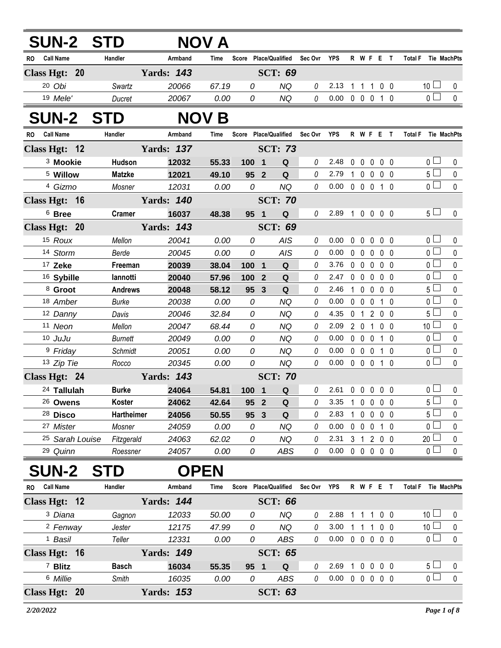| <b>SUN-2 STD</b>            |                        |                   | NOV A         |                               |                         |                        |             |                            |              |                          |                         |                |                      |                |
|-----------------------------|------------------------|-------------------|---------------|-------------------------------|-------------------------|------------------------|-------------|----------------------------|--------------|--------------------------|-------------------------|----------------|----------------------|----------------|
| <b>Call Name</b><br>RO      | Handler                | Armband           | Time          | Score                         |                         | <b>Place/Qualified</b> | Sec Ovr     | <b>YPS</b>                 |              | R W F E                  |                         | $\mathbf{T}$   | <b>Total F</b>       | Tie MachPts    |
| Class Hgt: 20               |                        | <b>Yards: 143</b> |               |                               |                         | <b>SCT: 69</b>         |             |                            |              |                          |                         |                |                      |                |
| 20 Obi                      | Swartz                 | 20066             | 67.19         | 0                             |                         | <b>NQ</b>              | 0           | 2.13                       |              | 1 1 1 0 0                |                         |                | 10 <sup>1</sup>      | 0              |
| 19 Mele'                    | Ducret                 | 20067             | 0.00          | 0                             |                         | <b>NQ</b>              | 0           | 0.00                       |              | $0\quad 0\quad 0$        |                         | 1 0            | 0 <sup>1</sup>       | $\mathbf 0$    |
| <b>SUN-2 STD</b>            |                        |                   | <b>NOV B</b>  |                               |                         |                        |             |                            |              |                          |                         |                |                      |                |
| <b>Call Name</b><br>RO      | Handler                | Armband           | Time          | Score Place/Qualified Sec Ovr |                         |                        |             | YPS                        |              | R W F E T                |                         |                | <b>Total F</b>       | Tie MachPts    |
| Class Hgt: 12               |                        | <b>Yards: 137</b> |               |                               |                         | <b>SCT: 73</b>         |             |                            |              |                          |                         |                |                      |                |
| <sup>3</sup> Mookie         | Hudson                 | 12032             | 55.33         | 100 1                         |                         | Q                      | 0           | 2.48                       |              | 00000                    |                         |                | 0 <sub>0</sub>       | 0              |
| <sup>5</sup> Willow         | <b>Matzke</b>          | 12021             | 49.10         | 95 2                          |                         | Q                      | 0           | 2.79                       | $\mathbf{1}$ | $0\quad 0\quad 0\quad 0$ |                         |                | $5\Box$              | $\pmb{0}$      |
| 4 Gizmo                     | Mosner                 | 12031             | 0.00          | 0                             |                         | <b>NQ</b>              | $\theta$    | 0.00                       |              | 0 0 0 1 0                |                         |                | $\overline{0}$       | $\mathbf 0$    |
| Class Hgt: 16               |                        | <b>Yards: 140</b> |               |                               |                         | <b>SCT: 70</b>         |             |                            |              |                          |                         |                |                      |                |
| <sup>6</sup> Bree           | <b>Cramer</b>          | 16037             | 48.38         | 95 1                          |                         | Q                      | 0           | 2.89                       |              | 1 0 0 0 0                |                         |                | $5\perp$             | 0              |
| Class Hgt: 20               |                        | <b>Yards: 143</b> |               |                               |                         | <b>SCT: 69</b>         |             |                            |              |                          |                         |                |                      |                |
| 15 Roux                     | Mellon                 | 20041             | 0.00          | 0                             |                         | AIS                    | 0           | 0.00                       |              | $0\quad 0$               | $\mathbf 0$             | $0\quad 0$     | 0 <sub>l</sub>       | 0              |
| 14 Storm                    | Berde                  | 20045             | 0.00          | 0                             |                         | <b>AIS</b>             | 0           | 0.00                       |              | $0\quad 0\quad 0$        |                         | 0 <sub>0</sub> | $\overline{0}$       | 0              |
| <sup>17</sup> Zeke          | Freeman                | 20039             | 38.04         | 1001                          |                         | ${\bf Q}$              | 0           | 3.76                       |              | $0\quad 0\quad 0$        |                         | $0\quad 0$     | $\overline{0}$       | $\pmb{0}$      |
| <sup>16</sup> Sybille       | lannotti               | 20040             | 57.96         | 100                           | $\overline{\mathbf{2}}$ | Q                      | 0           | 2.47                       |              | $0\quad 0\quad 0$        |                         | 0 <sub>0</sub> | 0 <sub>1</sub>       | 0              |
| 8 Groot                     | <b>Andrews</b>         | 20048             | 58.12         | 95                            | $\mathbf{3}$            | Q                      | 0           | 2.46                       | $\mathbf{1}$ | $\mathbf 0$              | $0\quad 0\quad 0$       |                | $5\Box$              | $\pmb{0}$      |
| 18 Amber                    | <b>Burke</b>           | 20038             | 0.00          | 0                             |                         | <b>NQ</b>              | 0           | 0.00                       |              | $0\quad 0$               | $\overline{\mathbf{0}}$ | 1 0            | $\overline{0}$       | $\pmb{0}$      |
| 12 Danny                    | Davis                  | 20046             | 32.84         | 0                             |                         | NQ                     | 0           | 4.35                       |              | 0 1 2 0 0                |                         |                | 5 <sup>1</sup>       | 0              |
| 11 Neon                     | Mellon                 | 20047             | 68.44         | 0                             |                         | NQ                     | 0           | 2.09                       |              | 2 0 1 0 0                |                         |                | 10 <sup>L</sup>      | 0              |
| 10 JuJu                     | <b>Burnett</b>         | 20049             | 0.00          | 0                             |                         | NQ                     | 0           | 0.00                       |              | $0\quad 0\quad 0$        |                         | 1 0            | $0^{\square}$        | 0              |
| <sup>9</sup> Friday         | <b>Schmidt</b>         | 20051             | 0.00          | 0                             |                         | <b>NQ</b>              | 0           | 0.00                       |              | $0\quad 0\quad 0$        |                         | 10             | $\overline{0}$       | $\pmb{0}$      |
| 13 Zip Tie                  | Rocco                  | 20345             | 0.00          | 0                             |                         | <b>NQ</b>              | 0           | 0.00                       |              | $0\quad 0\quad 0$        |                         | $1\quad0$      | $\overline{0}$       | $\mathbf 0$    |
| Class Hgt: 24               |                        | <b>Yards: 143</b> |               |                               |                         | <b>SCT: 70</b>         |             |                            |              |                          |                         |                |                      |                |
| 24 Tallulah                 | <b>Burke</b>           | 24064             | 54.81         | 100 1                         |                         | Q                      | 0           | 2.61 0 0 0 0 0             |              |                          |                         |                | $\overline{0}$       | $\mathbf 0$    |
| 26 Owens                    | Koster                 | 24062             | 42.64         | 95 2                          |                         | Q                      |             | 3.35                       | 1            | 0                        | $\mathbf 0$             | $0\quad 0$     | 5                    | 0              |
| <sup>28</sup> Disco         | Hartheimer             | 24056             | 50.55         | 95 3                          |                         | Q                      | 0           | 2.83                       | $\mathbf{1}$ | $\mathbf 0$              | $\mathbf 0$             | $0\quad 0$     | 5 <sub>1</sub>       | 0              |
| 27 Mister                   | Mosner                 | 24059             | 0.00          | 0                             |                         | <b>NQ</b>              | 0           | 0.00                       |              | $0\quad 0\quad 0$        |                         | 1 0            | 0 <sub>1</sub>       | 0              |
| 25 Sarah Louise<br>29 Quinn | Fitzgerald<br>Roessner | 24063<br>24057    | 62.02<br>0.00 | 0<br>0                        |                         | <b>NQ</b><br>ABS       | 0<br>0      | 2.31<br>0.00               |              | $3 \quad 1$<br>00000     | 200                     |                | 20<br>0 <sub>1</sub> | 0<br>$\pmb{0}$ |
|                             |                        |                   |               |                               |                         |                        |             |                            |              |                          |                         |                |                      |                |
| <b>SUN-2</b>                | <b>STD</b>             | <b>OPEN</b>       |               |                               |                         |                        |             |                            |              |                          |                         |                |                      |                |
| <b>Call Name</b><br>RO      | Handler                | Armband           | Time          | Score Place/Qualified         |                         |                        | Sec Ovr YPS |                            |              | R W F E T                |                         |                | Total F Tie MachPts  |                |
| Class Hgt: 12               |                        | <b>Yards: 144</b> |               |                               |                         | <b>SCT: 66</b>         |             |                            |              |                          |                         |                |                      |                |
| <sup>3</sup> Diana          | Gagnon                 | 12033             | 50.00         | 0                             |                         | <b>NQ</b>              | 0           | 2.88                       |              | 1 1 1 0 0                |                         |                | 10 <sup>1</sup>      | $\bf{0}$       |
| <sup>2</sup> Fenway         | Jester                 | 12175             | 47.99         | 0                             |                         | <b>NQ</b>              | 0           | 3.00                       |              | $1\quad1$                | $\overline{1}$          | $0\quad 0$     | 10 <sup>1</sup>      | $\pmb{0}$      |
| <sup>1</sup> Basil          | Teller                 | 12331             | 0.00          | 0                             |                         | ABS                    | 0           | 0.00                       |              | 0 0 0 0 0                |                         |                | 0 <sup>1</sup>       | $\pmb{0}$      |
| Class Hgt: 16               |                        | <b>Yards: 149</b> |               |                               |                         | <b>SCT: 65</b>         |             |                            |              |                          |                         |                |                      |                |
| <sup>7</sup> Blitz          | <b>Basch</b>           | 16034             | 55.35         | 95 1                          |                         | $\mathbf Q$            | 0           | 2.69                       | $\mathbf{1}$ | $\mathbf 0$              | $\mathbf 0$             | $0\quad 0$     | 5 <sub>1</sub>       | 0              |
| 6 Millie                    | Smith                  | 16035             | 0.00          | 0                             |                         | ABS                    | 0           | $0.00 \t0 \t0 \t0 \t0 \t0$ |              |                          |                         |                | $\overline{0}$       | $\pmb{0}$      |
| Class Hgt: 20               |                        | <b>Yards: 153</b> |               |                               |                         | <b>SCT: 63</b>         |             |                            |              |                          |                         |                |                      |                |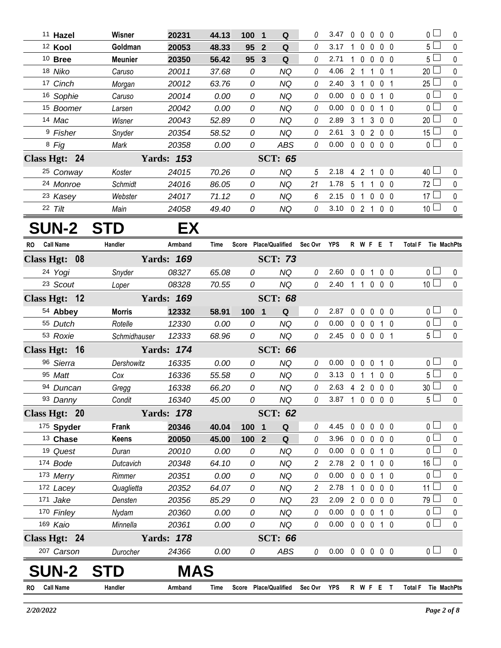|    | <sup>11</sup> Hazel  | Wisner            | 20231             | 44.13         | 100                   | $\mathbf 1$    | Q              |             | 3.47                       | $\mathbf{0}$ | $\mathbf{0}$                  |                  | $0\quad 0\quad 0$ |                                  | 0 l                           | 0              |
|----|----------------------|-------------------|-------------------|---------------|-----------------------|----------------|----------------|-------------|----------------------------|--------------|-------------------------------|------------------|-------------------|----------------------------------|-------------------------------|----------------|
|    | <sup>12</sup> Kool   | Goldman           | 20053             | 48.33         | 95                    | $\overline{2}$ | Q              | 0           | 3.17                       |              | 1 0                           | $\mathbf{0}$     |                   | 0 <sub>0</sub>                   | $5\Box$                       | 0              |
|    | $10$ Bree            | <b>Meunier</b>    | 20350             | 56.42         | 95                    | $\mathbf{3}$   | Q              | 0           | 2.71                       |              | $1\quad 0$                    | $\mathbf 0$      | $0\quad 0$        |                                  | 5 <sup>1</sup>                | $\pmb{0}$      |
|    | 18 Niko              | Caruso            | 20011             | 37.68         | 0                     |                | <b>NQ</b>      | 0           | 4.06                       |              |                               | 2 1 1 0 1        |                   |                                  | 20                            | 0              |
|    | 17 Cinch             | Morgan            | 20012             | 63.76         | 0                     |                | NQ             | 0           | 2.40                       |              |                               | 3 1 0 0 1        |                   |                                  | 25                            | 0              |
|    | 16 Sophie            | Caruso            | 20014             | 0.00          | 0                     |                | NQ             | 0           | 0.00                       |              | $0\quad 0$                    | $\mathbf 0$      |                   | $1\quad0$                        | 0 <sup>1</sup>                | 0              |
|    | 15 Boomer            | Larsen            | 20042             | 0.00          | 0                     |                | NQ             | 0           | 0.00                       |              | $0\quad 0$                    | $\mathbf 0$      |                   | 1 0                              | $\Omega$                      | 0              |
|    | 14 Mac               | Wisner            | 20043             | 52.89         | 0                     |                | NQ             | 0           | 2.89                       |              | 3 <sub>1</sub>                |                  | 3 0 0             |                                  | 20                            | $\mathbf{0}$   |
|    | <sup>9</sup> Fisher  | Snyder            | 20354             | 58.52         | 0                     |                | <b>NQ</b>      | 0           | 2.61                       |              |                               | 3 0 2 0 0        |                   |                                  | $15\square$                   | $\pmb{0}$      |
|    | 8 Fig                | Mark              | 20358             | 0.00          | 0                     |                | <b>ABS</b>     | 0           | 0.00                       |              |                               | 00000            |                   |                                  | $\overline{0}$                | $\mathbf 0$    |
|    | Class Hgt: 24        |                   | <b>Yards: 153</b> |               |                       |                | <b>SCT: 65</b> |             |                            |              |                               |                  |                   |                                  |                               |                |
|    | <sup>25</sup> Conway | Koster            | 24015             | 70.26         | 0                     |                | <b>NQ</b>      | 5           | 2.18                       |              |                               | 4 2 1 0 0        |                   |                                  | $40\Box$                      | 0              |
|    | 24 Monroe            | Schmidt           | 24016             | 86.05         | 0                     |                | <b>NQ</b>      | 21          | 1.78                       |              |                               | 5 1 1            | $0\quad 0$        |                                  | 72                            | 0              |
|    | 23 Kasey             | Webster           | 24017             | 71.12         | 0                     |                | <b>NQ</b>      | 6           | 2.15                       |              |                               | 01000            |                   |                                  | $17 \Box$                     | 0              |
|    | 22 Tilt              | Main              | 24058             | 49.40         | 0                     |                | <b>NQ</b>      | 0           | 3.10                       |              |                               | 0 2 1 0 0        |                   |                                  | 10 <sup>L</sup>               | $\pmb{0}$      |
|    | <b>SUN-2</b>         | <b>STD</b>        | EХ                |               |                       |                |                |             |                            |              |                               |                  |                   |                                  |                               |                |
| RO | <b>Call Name</b>     | Handler           | Armband           | Time          | Score Place/Qualified |                |                | Sec Ovr     | <b>YPS</b>                 |              |                               | R W F E T        |                   |                                  | <b>Total F</b><br>Tie MachPts |                |
|    | Class Hgt: 08        |                   | <b>Yards: 169</b> |               |                       |                | <b>SCT: 73</b> |             |                            |              |                               |                  |                   |                                  |                               |                |
|    | 24 Yogi              | Snyder            | 08327             | 65.08         | 0                     |                | <b>NQ</b>      | 0           | 2.60                       |              |                               | 0 0 1 0 0        |                   |                                  | 0 <sub>1</sub>                | 0              |
|    | 23 Scout             | Loper             | 08328             | 70.55         | 0                     |                | <b>NQ</b>      | 0           | 2.40                       |              |                               | 1 1 0 0 0        |                   |                                  | 10 <sup>1</sup>               | $\mathbf 0$    |
|    | Class Hgt: 12        |                   | <b>Yards: 169</b> |               |                       |                | <b>SCT: 68</b> |             |                            |              |                               |                  |                   |                                  |                               |                |
|    | 54 Abbey             | <b>Morris</b>     | 12332             | 58.91         | 100 1                 |                | Q              | 0           | 2.87                       |              | $0\quad 0$                    |                  | $0\quad 0\quad 0$ |                                  | 0 <sub>1</sub>                | 0              |
|    | 55 Dutch             | Rotelle           | 12330             | 0.00          | 0                     |                | <b>NQ</b>      | 0           | 0.00                       |              | $0\quad 0$                    | $\mathbf 0$      |                   | 10                               | $\overline{0}$                | $\pmb{0}$      |
|    | 53 Roxie             | Schmidhauser      | 12333             | 68.96         | 0                     |                | <b>NQ</b>      | 0           | 2.45                       |              |                               | 0 0 0 0 1        |                   |                                  | 5 <sub>1</sub>                | $\Omega$       |
|    | Class Hgt: 16        |                   | <b>Yards: 174</b> |               |                       |                | <b>SCT: 66</b> |             |                            |              |                               |                  |                   |                                  |                               |                |
|    | 96 Sierra            |                   |                   |               |                       |                | <b>NQ</b>      | 0           | 0.00                       |              |                               |                  |                   |                                  | 0 <sub>0</sub>                |                |
|    | 95 Matt              | Dershowitz<br>Cox | 16335<br>16336    | 0.00<br>55.58 | 0<br>0                |                | <b>NQ</b>      | 0           | 3.13                       | $\mathbf 0$  | $\mathbf 0$<br>0 <sub>1</sub> | $\mathbf 0$<br>1 | $\mathbf{1}$      | $\overline{0}$<br>0 <sub>0</sub> | 5 <sub>1</sub>                | 0<br>$\pmb{0}$ |
|    | 94 Duncan            |                   | 16338             | 66.20         | 0                     |                | <b>NQ</b>      | 0           | 2.63 4 2 0 0 0             |              |                               |                  |                   |                                  | $\Box$<br>30 <sup>°</sup>     | $\pmb{0}$      |
|    | 93 Danny             | Gregg<br>Condit   | 16340             | 45.00         | 0                     |                | <b>NQ</b>      | 0           | 3.87 1 0 0 0 0             |              |                               |                  |                   |                                  | $5\Box$                       | 0              |
|    | Class Hgt: 20        |                   | <b>Yards: 178</b> |               |                       |                | <b>SCT: 62</b> |             |                            |              |                               |                  |                   |                                  |                               |                |
|    | 175 Spyder           | Frank             | 20346             | 40.04         | 100                   | - 1            | Q              | 0           | 4.45                       |              | $0\quad 0$                    | $\mathbf 0$      | $0\quad 0$        |                                  | $\overline{0}$                | 0              |
|    | 13 Chase             | <b>Keens</b>      | 20050             | 45.00         | 100 <sub>2</sub>      |                | Q              | 0           | 3.96                       |              | $0\quad 0$                    | $\mathbf 0$      |                   | $0\quad 0$                       | $\overline{0}$                | 0              |
|    | 19 Quest             | Duran             | 20010             | 0.00          | 0                     |                | <b>NQ</b>      | 0           | 0.00                       |              | $0\quad 0$                    | $\mathbf 0$      |                   | 1 0                              | $\overline{0}$                | 0              |
|    | 174 Bode             | Dutcavich         | 20348             | 64.10         | 0                     |                | <b>NQ</b>      | 2           | 2.78                       |              | 2 <sub>0</sub>                | $\mathbf{1}$     | $0\quad 0$        |                                  | $16\perp$                     | 0              |
|    | 173 Merry            | Rimmer            | 20351             | 0.00          | 0                     |                | <b>NQ</b>      | 0           | 0.00                       |              | $0\quad 0$                    | $\mathbf 0$      |                   | 1 0                              | $\overline{0}$                | 0              |
|    | 172 Lacey            | Quaglietta        | 20352             | 64.07         | 0                     |                | <b>NQ</b>      | 2           | 2.78                       |              | $1\quad 0$                    | $\mathbf 0$      |                   | 0 <sub>0</sub>                   | $11 \Box$                     | 0              |
|    | 171 Jake             | Densten           | 20356             | 85.29         | 0                     |                | <b>NQ</b>      | 23          | 2.09                       |              | $2\quad 0$                    | $\mathbf 0$      | $0\quad 0$        |                                  | $79$ $\Box$                   | 0              |
|    | 170 Finley           | Nydam             | 20360             | 0.00          | 0                     |                | <b>NQ</b>      | 0           | 0.00                       |              | $0\quad 0$                    | $\mathbf 0$      |                   | 1 0                              | 0 <sub>1</sub>                | 0              |
|    | 169 Kaio             | Minnella          | 20361             | 0.00          | 0                     |                | <b>NQ</b>      | 0           | 0.00                       |              | $0\quad 0$                    | $\mathbf 0$      |                   | 1 0                              | $\overline{0}$                | $\pmb{0}$      |
|    | Class Hgt: 24        |                   | <b>Yards: 178</b> |               |                       |                | <b>SCT: 66</b> |             |                            |              |                               |                  |                   |                                  |                               |                |
|    | 207 Carson           | Durocher          | 24366             | 0.00          | 0                     |                | ABS            | 0           | $0.00 \t0 \t0 \t0 \t0 \t0$ |              |                               |                  |                   |                                  | 0 <sub>1</sub>                | 0              |
|    | <b>SUN-2</b>         | <b>STD</b>        | MAS               |               |                       |                |                |             |                            |              |                               |                  |                   |                                  |                               |                |
|    | <b>Call Name</b>     | Handler           | Armband           | Time          | Score Place/Qualified |                |                | Sec Ovr YPS |                            |              |                               | R W F E T        |                   |                                  | Total F Tie MachPts           |                |
| RO |                      |                   |                   |               |                       |                |                |             |                            |              |                               |                  |                   |                                  |                               |                |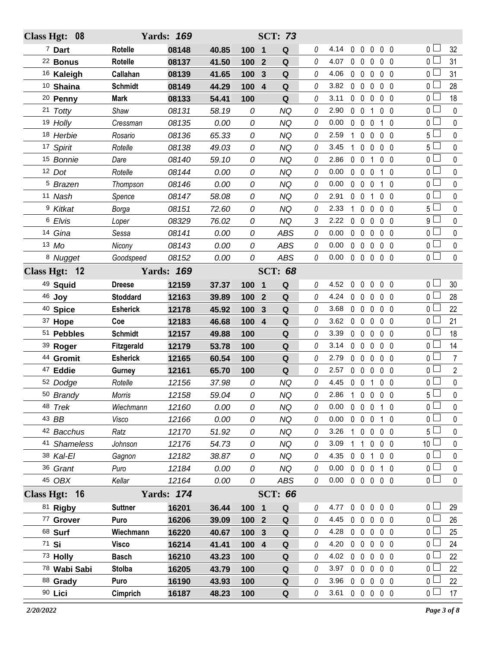| Class Hgt: 08       |                 | <b>Yards: 169</b> |       |                  |                         | <b>SCT: 73</b> |   |                |              |                   |              |                              |                    |                |
|---------------------|-----------------|-------------------|-------|------------------|-------------------------|----------------|---|----------------|--------------|-------------------|--------------|------------------------------|--------------------|----------------|
| <sup>7</sup> Dart   | Rotelle         | 08148             | 40.85 | 100              | $\mathbf 1$             | Q              | 0 | 4.14           | $\mathbf 0$  | $\mathbf 0$       | 0            | 0 <sub>0</sub>               | 0 l                | 32             |
| <sup>22</sup> Bonus | <b>Rotelle</b>  | 08137             | 41.50 | 100              | $\overline{2}$          | Q              | 0 | 4.07           | $0\quad 0$   |                   | $\mathbf{0}$ | 0 <sub>0</sub>               | 0 <sup>L</sup>     | 31             |
| 16 Kaleigh          | Callahan        | 08139             | 41.65 | 100              | 3                       | Q              | 0 | 4.06           | $0\quad 0$   |                   | $\mathbf 0$  | 0 <sub>0</sub>               | 0 <sup>1</sup>     | 31             |
| 10 Shaina           | <b>Schmidt</b>  | 08149             | 44.29 | 100              | $\overline{\mathbf{4}}$ | Q              | 0 | 3.82           | $0\quad 0$   |                   | $\mathbf 0$  | 0 <sub>0</sub>               | 0 <sup>1</sup>     | 28             |
| <sup>20</sup> Penny | <b>Mark</b>     | 08133             | 54.41 | 100              |                         | Q              | 0 | 3.11           | $0\quad 0$   |                   | $\mathbf 0$  | 0 <sub>0</sub>               | 0                  | 18             |
| 21 Totty            | Shaw            | 08131             | 58.19 | 0                |                         | <b>NQ</b>      | 0 | 2.90           | $0\quad 0$   |                   | 1            | 0 <sub>0</sub>               | 0 <sup>2</sup>     | $\mathbf 0$    |
| 19 Holly            | Cressman        | 08135             | 0.00  | 0                |                         | <b>NQ</b>      | 0 | 0.00           | $0\quad 0$   |                   | $\mathbf{0}$ | $1\quad0$                    | 0 l                | 0              |
| 18 Herbie           | Rosario         | 08136             | 65.33 | 0                |                         | <b>NQ</b>      | 0 | 2.59           | $\mathbf{1}$ | $\mathbf 0$       | 0            | $0\quad 0$                   | 5 <sup>1</sup>     | $\mathbf 0$    |
| 17 Spirit           | Rotelle         | 08138             | 49.03 | 0                |                         | <b>NQ</b>      | 0 | 3.45           | 1            | $\mathbf 0$       | $\mathbf{0}$ | 0 <sub>0</sub>               | 5 <sup>5</sup>     | 0              |
| 15 Bonnie           | Dare            | 08140             | 59.10 | 0                |                         | <b>NQ</b>      | 0 | 2.86           | $0\quad 0$   |                   | 1            | 0 <sub>0</sub>               | 0 <sup>1</sup>     | $\mathbf 0$    |
| 12 Dot              | Rotelle         | 08144             | 0.00  | 0                |                         | <b>NQ</b>      | 0 | 0.00           | $0\quad 0$   |                   | $\mathbf{0}$ | $1\quad0$                    | 0 L                | 0              |
| <sup>5</sup> Brazen | Thompson        | 08146             | 0.00  | 0                |                         | <b>NQ</b>      | 0 | 0.00           | $0\quad 0$   |                   | 0            | $\mathbf{1}$<br>$\mathbf{0}$ | 0 <sup>2</sup>     | $\mathbf 0$    |
| 11 Nash             | Spence          | 08147             | 58.08 | 0                |                         | <b>NQ</b>      | 0 | 2.91           | $0\quad 0$   |                   | 1            | 0 <sub>0</sub>               | 0 <sub>1</sub>     | $\pmb{0}$      |
| <sup>9</sup> Kitkat | Borga           | 08151             | 72.60 | 0                |                         | <b>NQ</b>      | 0 | 2.33           | $\mathbf{1}$ | $\mathbf 0$       | $\mathbf 0$  | $0\quad 0$                   | $5\Box$            | $\mathbf 0$    |
| 6 Elvis             | Loper           | 08329             | 76.02 | 0                |                         | <b>NQ</b>      | 3 | 2.22           | $0\quad 0$   |                   | $\mathbf 0$  | 0 <sub>0</sub>               | 9 l                | 0              |
| 14 Gina             | Sessa           | 08141             | 0.00  | 0                |                         | <b>ABS</b>     | 0 | 0.00           | $0\quad 0$   |                   | $\mathbf 0$  | $0\quad 0$                   | 0 <sup>1</sup>     | $\mathbf 0$    |
| 13 Mo               | Nicony          | 08143             | 0.00  | 0                |                         | <b>ABS</b>     | 0 | 0.00           | $0\quad 0$   |                   | $\mathbf 0$  | 0 <sub>0</sub>               | 0 <sub>1</sub>     | $\pmb{0}$      |
| <sup>8</sup> Nugget | Goodspeed       | 08152             | 0.00  | 0                |                         | ABS            | 0 | 0.00           |              |                   |              | 00000                        | $\overline{0}$     | $\mathbf 0$    |
| Class Hgt: 12       |                 | <b>Yards: 169</b> |       |                  |                         | <b>SCT: 68</b> |   |                |              |                   |              |                              |                    |                |
| 49 Squid            | <b>Dreese</b>   | 12159             | 37.37 | 100              | $\overline{\mathbf{1}}$ | Q              | 0 | 4.52           | $0\quad 0$   |                   | $\mathbf 0$  | 0 <sub>0</sub>               | 0 <sub>0</sub>     | 30             |
| 46 Joy              | <b>Stoddard</b> | 12163             | 39.89 | 100              | $\overline{2}$          | Q              | 0 | 4.24           |              | $0\quad 0\quad 0$ |              | $0\quad 0$                   | 0 <sup>1</sup>     | 28             |
| <sup>40</sup> Spice | <b>Esherick</b> | 12178             | 45.92 | 100              | 3                       | Q              | 0 | 3.68           | $0\quad 0$   |                   | $\mathbf 0$  | 0 <sub>0</sub>               | 0 L                | 22             |
| 37 Hope             | Coe             | 12183             | 46.68 | 100 4            |                         | Q              | 0 | 3.62           | $0\quad 0$   |                   | $\mathbf 0$  | $0\quad 0$                   | 0 <sup>1</sup>     | 21             |
| 51 Pebbles          | <b>Schmidt</b>  | 12157             | 49.88 | 100              |                         | Q              | 0 | 3.39           | $0\quad 0$   |                   | $\mathbf 0$  | 0 <sub>0</sub>               | 0 l                | 18             |
| 39 Roger            | Fitzgerald      | 12179             | 53.78 | 100              |                         | Q              | 0 | 3.14           | $0\quad 0$   |                   | $\mathbf 0$  | $0\quad 0$                   | 0 <sub>0</sub>     | 14             |
| 44 Gromit           | <b>Esherick</b> | 12165             | 60.54 | 100              |                         | Q              | 0 | 2.79           | $0\quad 0$   |                   | $\mathbf 0$  | $0\quad 0$                   | 0 L                | $\overline{7}$ |
| <sup>47</sup> Eddie | Gurney          | 12161             | 65.70 | 100              |                         | $\mathbf Q$    | 0 | 2.57           |              | $0\quad 0\quad 0$ |              | 0 <sub>0</sub>               | 0 <sub>0</sub>     | $\overline{2}$ |
| 52 Dodge            | Rotelle         | 12156             | 37.98 | 0                |                         | <b>NQ</b>      | 0 | 4.45           |              | $0 \t0 \t1$       |              | $0\quad 0$                   | 0 l                | $\pmb{0}$      |
| 50 Brandy           | Morris          | 12158             | 59.04 | 0                |                         | <b>NQ</b>      | 0 | 2.86 1 0 0 0 0 |              |                   |              |                              | $5\overline{\Box}$ | $\mathbf 0$    |
| 48 Trek             | Wiechmann       | 12160             | 0.00  | 0                |                         | <b>NQ</b>      | 0 | 0.00           |              |                   |              | 0 0 0 1 0                    | 0 <sup>1</sup>     | 0              |
| 43 BB               | Visco           | 12166             | 0.00  | 0                |                         | <b>NQ</b>      | 0 | 0.00           |              |                   |              | 0 0 0 1 0                    | 0 <sup>1</sup>     | $\pmb{0}$      |
| 42 Bacchus          | Ratz            | 12170             | 51.92 | 0                |                         | <b>NQ</b>      | 0 | 3.26           |              | $1\quad0$         |              | $0\quad 0\quad 0$            | 5 l                | 0              |
| 41 Shameless        | Johnson         | 12176             | 54.73 | 0                |                         | <b>NQ</b>      | 0 | 3.09           | $1\quad1$    |                   |              | $0\quad 0\quad 0$            | 10 <sup>2</sup>    | $\pmb{0}$      |
| 38 Kal-El           | Gagnon          | 12182             | 38.87 | 0                |                         | <b>NQ</b>      | 0 | 4.35           | $0\quad 0$   |                   |              | 1 0 0                        | 0 <sup>1</sup>     | 0              |
| 36 Grant            | Puro            | 12184             | 0.00  | 0                |                         | <b>NQ</b>      | 0 | 0.00           |              |                   |              | 0 0 0 1 0                    | 0 <sup>1</sup>     | $\pmb{0}$      |
| 45 OBX              | Kellar          | 12164             | 0.00  | 0                |                         | ABS            | 0 | 0.00           |              |                   |              | 0 0 0 0 0                    | 0 <sub>1</sub>     | $\mathbf 0$    |
| Class Hgt: 16       |                 | <b>Yards: 174</b> |       |                  |                         | <b>SCT: 66</b> |   |                |              |                   |              |                              |                    |                |
| 81 Rigby            | <b>Suttner</b>  | 16201             | 36.44 | 100 1            |                         | Q              | 0 | 4.77           | $0\quad 0$   |                   | $\mathbf 0$  | $0\quad 0$                   | 0 <sup>L</sup>     | 29             |
| 77 Grover           | Puro            | 16206             | 39.09 | 100 2            |                         | Q              | 0 | 4.45           | $0\quad 0$   |                   | $\mathbf 0$  | $0\quad 0$                   | 0 <sub>0</sub>     | 26             |
| 68 Surf             | Wiechmann       | 16220             | 40.67 | 100 <sub>3</sub> |                         | ${\bf Q}$      | 0 | 4.28           |              |                   |              | 00000                        | 0 <sup>1</sup>     | 25             |
| 71 Si               | Visco           | 16214             | 41.41 | $100$ 4          |                         | Q              | 0 | 4.20           | $0\quad 0$   |                   | $\mathbf 0$  | $0\quad 0$                   | 0 l                | 24             |
| 73 Holly            | <b>Basch</b>    | 16210             | 43.23 | 100              |                         | ${\bf Q}$      | 0 | 4.02           | $0\quad 0$   |                   | $\mathbf 0$  | $0\quad 0$                   | 0 <sup>L</sup>     | 22             |
| 78 Wabi Sabi        | <b>Stolba</b>   | 16205             | 43.79 | 100              |                         | Q              | 0 | 3.97           | $0\quad 0$   |                   | $\mathbf{0}$ | $0\quad 0$                   | 0 l                | 22             |
| 88 Grady            | Puro            | 16190             | 43.93 | 100              |                         | Q              | 0 | 3.96           |              |                   |              | 00000                        | 0 <sub>0</sub>     | 22             |
| 90 Lici             | Cimprich        | 16187             | 48.23 | 100              |                         | Q              | 0 | 3.61           |              |                   |              | 00000                        | 0 <sub>0</sub>     | 17             |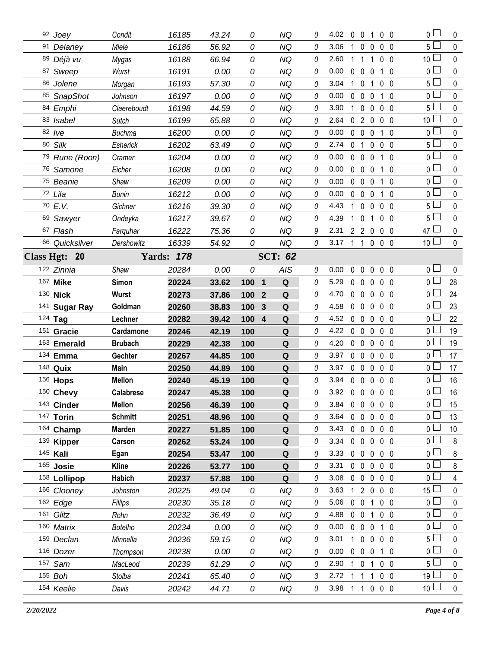| 92 Joey         | Condit           | 16185             | 43.24 | 0                              | NQ             | 0        | 4.02           | $\mathbf 0$  | 0 <sub>1</sub>      |                   | $0\quad 0$     | 0 <sub>1</sub>          | 0                        |
|-----------------|------------------|-------------------|-------|--------------------------------|----------------|----------|----------------|--------------|---------------------|-------------------|----------------|-------------------------|--------------------------|
| 91 Delaney      | Miele            | 16186             | 56.92 | 0                              | <b>NQ</b>      | 0        | 3.06           | 1            | $\mathbf 0$<br>0    |                   | 0 <sub>0</sub> | $5\Box$                 | $\mathbf 0$              |
| 89 Déjà vu      | Mygas            | 16188             | 66.94 | 0                              | <b>NQ</b>      | 0        | 2.60           | $1\quad1$    | 1                   |                   | 0 <sub>0</sub> | 10 <sup>1</sup>         | $\mathbf{0}$             |
| 87 Sweep        | Wurst            | 16191             | 0.00  | 0                              | <b>NQ</b>      | 0        | 0.00           | $\mathbf 0$  | $\mathbf 0$<br>0    | $\mathbf 1$       | $\mathbf{0}$   | 0 <sub>1</sub>          | $\mathbf 0$              |
| 86 Jolene       | Morgan           | 16193             | 57.30 | 0                              | NQ             | 0        | 3.04           | $\mathbf{1}$ | $\mathbf 0$<br>1    |                   | 0 <sub>0</sub> | 5 <sup>1</sup>          | 0                        |
| 85 SnapShot     | Johnson          | 16197             | 0.00  | 0                              | <b>NQ</b>      | 0        | 0.00           | $\mathbf 0$  | $\mathbf 0$<br>0    | $\mathbf{1}$      | $\overline{0}$ | 0 <sup>1</sup>          | $\pmb{0}$                |
| 84 Emphi        | Claereboudt      | 16198             | 44.59 | 0                              | <b>NQ</b>      | 0        | 3.90           | 1            | $\mathbf 0$<br>0    |                   | $0\quad 0$     | 5 <sup>1</sup>          | 0                        |
| 83 Isabel       | Sutch            | 16199             | 65.88 | 0                              | <b>NQ</b>      | 0        | 2.64           | $\mathbf{0}$ | $\overline{2}$<br>0 |                   | $0\quad 0$     | 10 <sup>1</sup>         | $\mathbf 0$              |
| 82 lve          | <b>Buchma</b>    | 16200             | 0.00  | 0                              | <b>NQ</b>      | 0        | 0.00           | $0\quad 0$   | $\mathbf 0$         |                   | $1\quad0$      | 0 <sub>0</sub>          | $\mathbf 0$              |
| 80 Silk         | Esherick         | 16202             | 63.49 | 0                              | <b>NQ</b>      | 0        | 2.74           | $\mathbf 0$  | $\overline{1}$<br>0 |                   | $0\quad 0$     | 5 <sub>1</sub>          | $\pmb{0}$                |
| 79 Rune (Roon)  | Cramer           | 16204             | 0.00  | 0                              | <b>NQ</b>      | 0        | 0.00           | $0\quad 0$   | 0                   | $\mathbf{1}$      | $\overline{0}$ | 0 <sup>L</sup>          | 0                        |
| 76 Samone       | Eicher           | 16208             | 0.00  | 0                              | <b>NQ</b>      | 0        | 0.00           | $0\quad 0$   | 0                   | 1                 | $\mathbf{0}$   | 0 <sub>1</sub>          | $\mathbf 0$              |
| 75 Beanie       | Shaw             | 16209             | 0.00  | 0                              | <b>NQ</b>      | 0        | 0.00           | $0\quad 0$   | $\mathbf 0$         |                   | $1\quad0$      | 0 l                     | 0                        |
| 72 Lila         | Bunin            | 16212             | 0.00  | 0                              | <b>NQ</b>      | 0        | 0.00           | $\mathbf 0$  | $\mathbf 0$<br>0    |                   | $1\quad0$      | 0 <sub>l</sub>          | $\mathbf 0$              |
| 70 E.V.         | Gichner          | 16216             | 39.30 | 0                              | <b>NQ</b>      | 0        | 4.43           | $\mathbf{1}$ | $\mathbf 0$<br>0    |                   | $0\quad 0$     | 5 <sup>1</sup>          | $\mathbf 0$              |
| 69 Sawyer       | Ondeyka          | 16217             | 39.67 | 0                              | <b>NQ</b>      | 0        | 4.39           | 1            | 0<br>1              |                   | $0\quad 0$     | 5 <sub>1</sub>          | $\mathbf 0$              |
| 67 Flash        | Farquhar         | 16222             | 75.36 | 0                              | <b>NQ</b>      | 9        | 2.31           |              | $2 \quad 2 \quad 0$ |                   | $0\quad 0$     | 47 L                    | $\mathbf 0$              |
| 66 Quicksilver  | Dershowitz       | 16339             | 54.92 | 0                              | <b>NQ</b>      | 0        | 3.17           | $1\quad1$    |                     | $0\quad 0\quad 0$ |                | 10 <sup>1</sup>         | $\pmb{0}$                |
| Class Hgt: 20   |                  | <b>Yards: 178</b> |       |                                | <b>SCT: 62</b> |          |                |              |                     |                   |                |                         |                          |
| 122 Zinnia      | Shaw             | 20284             | 0.00  | 0                              | AIS            | 0        | 0.00           | $\mathbf 0$  | $\mathbf 0$         | $0\quad0\quad0$   |                | 0 <sub>1</sub>          | $\mathbf{0}$             |
| 167 Mike        | Simon            | 20224             | 33.62 | 100 1                          | $\mathbf Q$    | 0        | 5.29           | $\mathbf 0$  | $\mathbf 0$<br>0    |                   | 0 <sub>0</sub> | 0 <sup>L</sup>          | 28                       |
| 130 Nick        | Wurst            | 20273             | 37.86 | 100<br>$\mathbf{2}$            | Q              | 0        | 4.70           | $0\quad 0$   | 0                   |                   | $0\quad 0$     | 0 l                     | 24                       |
| 141 Sugar Ray   | Goldman          | 20260             | 38.83 | 100<br>3                       | $\mathbf Q$    | 0        | 4.58           | $0\quad 0$   | 0                   |                   | $0\quad 0$     | 0 <sup>L</sup>          | 23                       |
| 124 Tag         | Lechner          | 20282             | 39.42 | 100<br>$\overline{\mathbf{4}}$ | Q              | 0        | 4.52           | $0\quad 0$   | $\mathbf{0}$        |                   | $0\quad 0$     | 0 l                     | 22                       |
| 151 Gracie      | Cardamone        | 20246             | 42.19 | 100                            | $\mathbf Q$    | 0        | 4.22           | $\mathbf 0$  | $\mathbf 0$<br>0    |                   | $0\quad 0$     | 0 <sub>0</sub>          | 19                       |
| 163 Emerald     | <b>Brubach</b>   | 20229             | 42.38 | 100                            | Q              | 0        | 4.20           | $0\quad 0$   | 0                   |                   | $0\quad 0$     | 0 <sub>0</sub>          | 19                       |
|                 |                  |                   |       |                                |                |          | 3.97           | $0\quad 0$   |                     |                   | 0 <sub>0</sub> | 0 <sub>0</sub>          | 17                       |
| 134 Emma        | Gechter          | 20267             | 44.85 | 100                            | Q              | 0        |                |              | 0                   |                   |                |                         |                          |
| 148 Quix        | Main             | 20250             | 44.89 | 100                            | Q              | 0        | 3.97           | $0\quad 0$   | 0                   |                   | $0\quad 0$     | 0 L                     | 17                       |
| 156 <b>Hops</b> | <b>Mellon</b>    | 20240             | 45.19 | 100                            | ${\bf Q}$      | $\theta$ | 3.94           | $0\quad 0$   |                     | $0\quad 0\quad 0$ |                | 0                       | 16                       |
| 150 Chevy       | <b>Calabrese</b> | 20247             | 45.38 | 100                            | Q              | 0        | 3.92 0 0 0 0 0 |              |                     |                   |                | 0                       | 16                       |
| 143 Cinder      | <b>Mellon</b>    | 20256             | 46.39 | 100                            | Q              | 0        | 3.84           |              |                     | 00000             |                | 0 <sub>1</sub>          | 15                       |
| 147 Torin       | <b>Schmitt</b>   | 20251             | 48.96 | 100                            | Q              | 0        | 3.64           | $0\quad 0$   |                     | $0\,0\,0$         |                | 0 l                     | 13                       |
| 164 Champ       | Marden           | 20227             | 51.85 | 100                            | Q              | 0        | 3.43           |              | $0\quad 0\quad 0$   |                   | $0\quad 0$     | 0 <sub>0</sub>          | 10 <sup>°</sup>          |
| 139 Kipper      | Carson           | 20262             | 53.24 | 100                            | Q              | 0        | 3.34           | $0\quad 0$   |                     | $0\quad 0\quad 0$ |                | 0 L                     | 8                        |
| 145 Kali        | Egan             | 20254             | 53.47 | 100                            | Q              | 0        | 3.33           |              |                     | 00000             |                | 0 <sup>1</sup>          | 8                        |
| 165 Josie       | <b>Kline</b>     | 20226             | 53.77 | 100                            | Q              | 0        | 3.31           | $0\quad 0$   | 0                   |                   | $0\quad 0$     | 0 L                     | 8                        |
| 158 Lollipop    | <b>Habich</b>    | 20237             | 57.88 | 100                            | Q              | 0        | 3.08           | $0\quad 0$   | $\mathbf 0$         |                   | $0\quad 0$     | 0 <sup>L</sup>          | 4                        |
| 166 Clooney     | Johnston         | 20225             | 49.04 | 0                              | NQ             | 0        | 3.63           |              |                     | 1 2 0 0 0         |                | 15 <sup>1</sup>         | 0                        |
| 162 Edge        | Fillips          | 20230             | 35.18 | 0                              | <b>NQ</b>      | 0        | 5.06           |              | 0 0 1               |                   | $0\quad 0$     | 0 <sup>1</sup>          | $\mathbf 0$              |
| 161 Glitz       | Rohn             | 20232             | 36.49 | 0                              | ΝQ             | 0        | 4.88           |              | 0 0 1               |                   | $0\quad 0$     | 0 l                     | 0                        |
| 160 Matrix      | <b>Botelho</b>   | 20234             | 0.00  | 0                              | NQ             | 0        | 0.00           |              | $0\quad 0\quad 0$   |                   | 1 0            | $0-$                    | 0                        |
| 159 Declan      | Minnella         | 20236             | 59.15 | 0                              | NQ             | 0        | 3.01           | 10           |                     | $0\quad 0\quad 0$ |                | 5 <sup>1</sup>          | 0                        |
| 116 Dozer       | Thompson         | 20238             | 0.00  | 0                              | NQ             | 0        | 0.00           |              | $0\quad 0\quad 0$   |                   | 10             | 0 L                     | 0                        |
| 157 Sam         | MacLeod          | 20239             | 61.29 | 0                              | ΝQ             | 0        | 2.90           | 10           | 1                   |                   | 0 <sub>0</sub> | 5                       | 0                        |
| 155 Boh         | Stolba           | 20241             | 65.40 | 0                              | NQ             | 3        | 2.72           | $\mathbf{1}$ | -1                  | 1                 | $0\quad 0$     | 19 l<br>10 <sup>1</sup> | $\mathbf 0$<br>$\pmb{0}$ |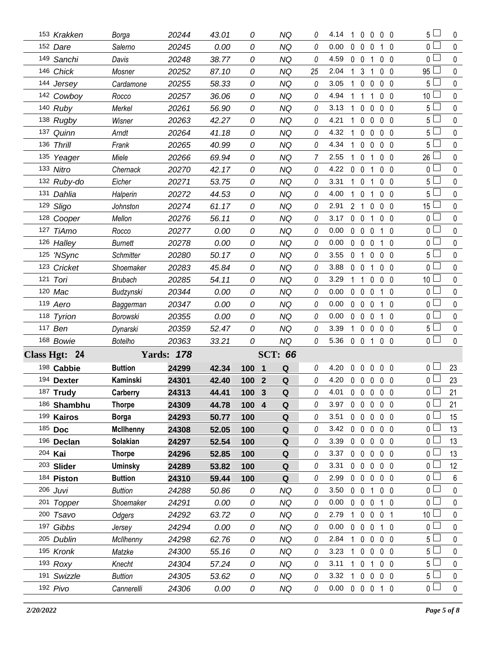| 153 Krakken             | Borga            | 20244             | 43.01 | 0                              | NQ             | 0  | 4.14<br>-1          | $\mathbf 0$<br>0            | 00                |     | $5\Box$               | 0              |
|-------------------------|------------------|-------------------|-------|--------------------------------|----------------|----|---------------------|-----------------------------|-------------------|-----|-----------------------|----------------|
| 152 Dare                | Salerno          | 20245             | 0.00  | 0                              | <b>NQ</b>      | 0  | 0.00<br>0           | $\mathbf 0$<br>0            | $1\quad0$         |     | $\overline{0}$        | $\pmb{0}$      |
| 149 Sanchi              | Davis            | 20248             | 38.77 | 0                              | <b>NQ</b>      | 0  | 4.59                | $0\quad 0$<br>1             | 0 <sub>0</sub>    |     | 0 L                   | $\pmb{0}$      |
| 146 Chick               | Mosner           | 20252             | 87.10 | 0                              | NQ             | 25 | 2.04<br>1           | 3<br>1                      | 0 <sub>0</sub>    |     | 95                    | $\pmb{0}$      |
| 144 Jersey              | Cardamone        | 20255             | 58.33 | 0                              | NQ             | 0  | 3.05<br>1           | $\mathbf 0$<br>0            | $0\quad 0$        |     | 5                     | 0              |
| 142 Cowboy              | Rocco            | 20257             | 36.06 | 0                              | NQ             | 0  | 4.94<br>1           | 1<br>1                      | $0\quad 0$        |     | 10 <sup>°</sup>       | $\pmb{0}$      |
| 140 Ruby                | Merkel           | 20261             | 56.90 | 0                              | <b>NQ</b>      | 0  | 3.13<br>1           | $\mathbf 0$<br>0            | $0\quad 0$        |     | 5                     | 0              |
| 138 Rugby               | Wisner           | 20263             | 42.27 | 0                              | <b>NQ</b>      | 0  | 4.21<br>1           | $\mathbf 0$<br>0            | $0\quad 0$        |     | 5 <sub>1</sub>        | $\pmb{0}$      |
| 137 Quinn               | Arndt            | 20264             | 41.18 | 0                              | <b>NQ</b>      | 0  | 4.32<br>1           | $\mathbf 0$<br>0            | $0\quad 0$        |     | 5 <sup>1</sup>        | 0              |
| 136 Thrill              | Frank            | 20265             | 40.99 | 0                              | <b>NQ</b>      | 0  | 4.34<br>1           | $\mathbf 0$<br>0            | $0\quad 0$        |     | 5 <sub>1</sub>        | $\pmb{0}$      |
| 135 Yeager              | Miele            | 20266             | 69.94 | 0                              | <b>NQ</b>      | 7  | 2.55<br>1           | $\mathbf 0$<br>1            | $0\quad 0$        |     | 26                    | 0              |
| 133 Nitro               | Chernack         | 20270             | 42.17 | 0                              | <b>NQ</b>      | 0  | 4.22<br>$\mathbf 0$ | $\mathbf 0$<br>-1           | $0\quad 0$        |     | 0 <sub>1</sub>        | $\pmb{0}$      |
| 132 Ruby-do             | Eicher           | 20271             | 53.75 | 0                              | NQ             | 0  | 3.31<br>1.          | $\mathbf 0$<br>1            | $0\quad 0$        |     | 5                     | 0              |
| 131 Dahlia              | Halperin         | 20272             | 44.53 | 0                              | <b>NQ</b>      | 0  | 4.00<br>1           | $\mathbf 0$<br>1            | 0 <sub>0</sub>    |     | 5 <sup>1</sup>        | $\pmb{0}$      |
| 129 Sligo               | Johnston         | 20274             | 61.17 | 0                              | <b>NQ</b>      | 0  | 2.91                | 2 <sub>1</sub><br>0         | $0\quad 0$        |     | 15                    | 0              |
| 128 Cooper              | Mellon           | 20276             | 56.11 | 0                              | <b>NQ</b>      | 0  | 3.17                | $0\quad 0$<br>1             | $0\quad 0$        |     | 0 <sub>1</sub>        | $\pmb{0}$      |
| 127 TiAmo               | Rocco            | 20277             | 0.00  | 0                              | <b>NQ</b>      | 0  | 0.00                | $0\quad 0$<br>0             | $1\quad0$         |     | 0 <sub>1</sub>        | 0              |
| 126 Halley              | <b>Burnett</b>   | 20278             | 0.00  | 0                              | <b>NQ</b>      | 0  | 0.00<br>$\mathbf 0$ | $\mathbf 0$<br>0            | $1\quad0$         |     | 0 <sub>1</sub>        | $\pmb{0}$      |
| 125 'NSync              | <b>Schmitter</b> | 20280             | 50.17 | 0                              | <b>NQ</b>      | 0  | 3.55                | 0 <sub>1</sub><br>0         | $0\quad 0$        |     | 5 <sup>1</sup>        | 0              |
| 123 Cricket             | Shoemaker        | 20283             | 45.84 | 0                              | <b>NQ</b>      | 0  | 3.88<br>0           | $\mathbf 0$<br>1            | $0\quad 0$        |     | 0 <sub>1</sub>        | $\mathbf 0$    |
| 121 Tori                | <b>Brubach</b>   | 20285             | 54.11 | 0                              | <b>NQ</b>      | 0  | 3.29<br>1           | 1<br>0                      | $0\quad 0$        |     | 10 <sup>1</sup>       | 0              |
| 120 Mac                 | Budzynski        | 20344             | 0.00  | 0                              | <b>NQ</b>      | 0  | 0.00<br>$\mathbf 0$ | $\mathbf 0$<br>0            | 1 0               |     | $\overline{0}$        | $\pmb{0}$      |
| 119 Aero                | Baggerman        | 20347             | 0.00  | 0                              | <b>NQ</b>      | 0  | 0.00                | $0\quad 0$<br>0             | $1\quad0$         |     | 0 <sub>0</sub>        | 0              |
| 118 Tyrion              | Borowski         | 20355             | 0.00  | 0                              | <b>NQ</b>      | 0  | 0.00<br>$\mathbf 0$ | $\mathbf 0$<br>0            | $\mathbf{1}$      | - 0 | $0\square$            | $\pmb{0}$      |
| 117 Ben                 | Dynarski         | 20359             | 52.47 | 0                              | <b>NQ</b>      | 0  | 3.39<br>1.          | $\mathbf 0$<br>0            | $0\quad 0$        |     | 5 <sup>1</sup>        | 0              |
| 168 Bowie               | Botelho          | 20363             | 33.21 | 0                              | <b>NQ</b>      | 0  | 5.36                | $0\quad 0$<br>1             | $0\quad 0$        |     | 0 <sub>0</sub>        | $\mathbf 0$    |
| Class Hgt: 24           |                  | <b>Yards: 178</b> |       |                                | <b>SCT: 66</b> |    |                     |                             |                   |     |                       |                |
|                         |                  |                   |       |                                |                |    |                     |                             |                   |     |                       | 23             |
| 198 Cabbie              | <b>Buttion</b>   | 24299             | 42.34 | 100<br>$\overline{\mathbf{1}}$ | Q              | 0  | 4.20<br>$\mathbf 0$ | $\mathbf 0$                 | $0\quad 0\quad 0$ |     | 0 L                   |                |
| 194 Dexter              | Kaminski         | 24301             | 42.40 | 100<br>$\overline{2}$          | $\mathbf Q$    | 0  | 4.20                | $0\quad 0$                  | $0\quad 0\quad 0$ |     | 0 L                   | 23             |
| 187 Trudy               | Carberry         | 24313             | 44.41 | 100 3                          | Q              | 0  | 4.01                | $0\;0\;0\;0\;0$             |                   |     | 0                     | 21             |
| 186 Shambhu             | <b>Thorpe</b>    | 24309             | 44.78 | 100 4                          | Q              | 0  | 3.97                | 00000                       |                   |     | 0 <sup>L</sup>        | 21             |
| 199 Kairos              | <b>Borga</b>     | 24293             | 50.77 | 100                            | Q              | 0  | 3.51                | $0\quad 0$<br>0             | $0\quad 0$        |     | 0 l                   | 15             |
| 185 Doc                 | <b>McIlhenny</b> | 24308             | 52.05 | 100                            | Q              | 0  | 3.42                | $0\quad 0$<br>$\mathbf 0$   | $0\quad 0$        |     | 0 <sub>0</sub>        | 13             |
| 196 Declan              | Solakian         | 24297             | 52.54 | 100                            | Q              | 0  | 3.39                | $0\quad 0$<br>0             | $0\quad 0$        |     | 0 L                   | 13             |
| 204 Kai                 | <b>Thorpe</b>    | 24296             | 52.85 | 100                            | Q              | 0  | 3.37                | $0\quad 0$<br>$\mathsf{0}$  | $0\quad 0$        |     | 0 <sup>L</sup>        | 13             |
| 203 Slider              | <b>Uminsky</b>   | 24289             | 53.82 | 100                            | Q              | 0  | 3.31                | $0\quad 0$<br>0             | $0\quad 0$        |     | 0 l                   | 12             |
| 184 Piston              | <b>Buttion</b>   | 24310             | 59.44 | 100                            | Q              | 0  | 2.99                | $0\quad 0$<br>0             | $0\quad 0$        |     | 0 L                   | $6\phantom{.}$ |
| 206 Juvi                | <b>Buttion</b>   | 24288             | 50.86 | 0                              | NQ             | 0  | 3.50                | $0\quad 0$<br>1             | $0\quad 0$        |     | 0 I                   | 0              |
| 201 Topper              | Shoemaker        | 24291             | 0.00  | 0                              | NQ             | 0  | 0.00                | $0\quad 0$<br>0             | 1 0               |     | 0 <sub>l</sub>        | $\pmb{0}$      |
| 200 Tsavo               | Odgers           | 24292             | 63.72 | 0                              | ΝQ             | 0  | 2.79                | $1\quad0$                   | 0 0 1             |     | 10 <sup>1</sup>       | 0              |
| 197 Gibbs               | Jersey           | 24294             | 0.00  | 0                              | <b>NQ</b>      | 0  | 0.00                | $0\quad 0$<br>0             | 1 0               |     | 0 L                   | 0              |
| 205 Dublin              | McIlhenny        | 24298             | 62.76 | 0                              | NQ             | 0  | 2.84<br>1.          | $\mathbf{0}$<br>$\mathbf 0$ | $0\quad 0$        |     | 5 <sup>5</sup>        | 0              |
| 195 Kronk               | Matzke           | 24300             | 55.16 | 0                              | NQ             | 0  | 3.23<br>1           | $\mathbf 0$<br>0            | $0\quad 0$        |     | 5 <sup>1</sup>        | 0              |
| $193$ Roxy              | Knecht           | 24304             | 57.24 | 0                              | NQ             | 0  | 3.11                | $1\quad0$<br>1              | 0 <sub>0</sub>    |     | 5                     | 0              |
| 191 Swizzle<br>192 Pivo | <b>Buttion</b>   | 24305             | 53.62 | 0                              | NQ             | 0  | 3.32                | 1 0                         | $0\quad 0\quad 0$ |     | 5 L<br>0 <sub>1</sub> | $\pmb{0}$      |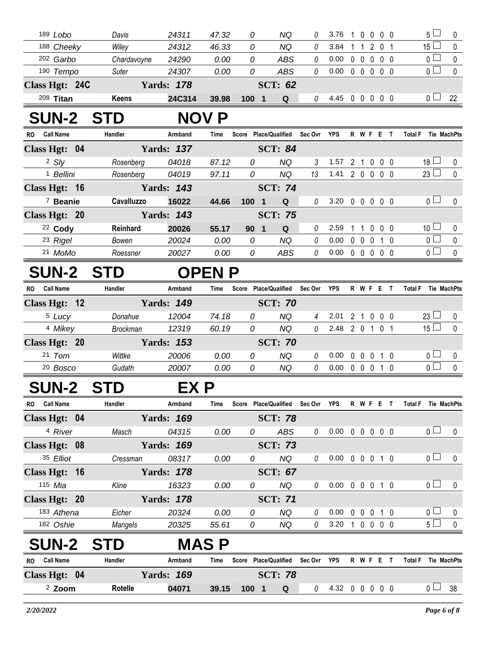| 189 Lobo                 | Davis        | 24311             | 47.32 | 0        | ΝQ             | n. | 3.76 |  |  | 5               | $\Omega$     |
|--------------------------|--------------|-------------------|-------|----------|----------------|----|------|--|--|-----------------|--------------|
| 188 Cheeky               | Wiley        | 24312             | 46.33 | 0        | ΝQ             |    | 3.84 |  |  | 15 <sup>L</sup> | $\mathbf{0}$ |
| <sup>202</sup> Garbo     | Chardavoyne  | 24290             | 0.00  | 0        | ABS            |    | 0.00 |  |  | 0 L             | $\mathbf{0}$ |
| 190 Tempo                | Suter        | 24307             | 0.00  | 0        | ABS            |    | 0.00 |  |  | ∩               | $\mathbf{0}$ |
| <b>Class Hgt:</b><br>24C |              | <b>Yards: 178</b> |       |          | <b>SCT: 62</b> |    |      |  |  |                 |              |
| $208$ Titan              | <b>Keens</b> | 24C314            | 39.98 | 100<br>я | Q              |    | 4.45 |  |  | ∩               | 22           |

## **SUN-2 STD NOV P**

| <b>Call Name</b><br>RO. | Handler    | Armband           | Time  | Score    | <b>Place/Qualified</b> | Sec Ovr  | <b>YPS</b> |   |                | R W F E   |                |                 | <b>Tie MachPts</b><br><b>Total F</b> |          |
|-------------------------|------------|-------------------|-------|----------|------------------------|----------|------------|---|----------------|-----------|----------------|-----------------|--------------------------------------|----------|
| Class Hgt: 04           |            | <b>Yards: 137</b> |       |          | <b>SCT: 84</b>         |          |            |   |                |           |                |                 |                                      |          |
| 2 S/V                   | Rosenberg  | 04018             | 87.12 | 0        | NQ                     | 3        | 1.57       | 2 |                | $\Omega$  | 0 0            |                 | $18 \Box$                            | $\Omega$ |
| <sup>1</sup> Bellini    | Rosenberg  | 04019             | 97.11 | $\Omega$ | ΝQ                     | 13       | 1.41       | 2 | $\Omega$       | $\Omega$  | $0\quad 0$     |                 | 23                                   | $\Omega$ |
| Class Hgt: 16           |            | <b>Yards: 143</b> |       |          | <b>SCT: 74</b>         |          |            |   |                |           |                |                 |                                      |          |
| <sup>7</sup> Beanie     | Cavalluzzo | 16022             | 44.66 | 100      | Q<br>- 1               | 0        | 3.20       | 0 | $\overline{0}$ | $0\,0\,0$ |                |                 | $\overline{0}$ $\Box$                | $\Omega$ |
| Class Hgt: 20           |            | <b>Yards: 143</b> |       |          | <b>SCT: 75</b>         |          |            |   |                |           |                |                 |                                      |          |
| $22$ Cody               | Reinhard   | 20026             | 55.17 | 90       | $\Omega$<br>-1         | 0        | 2.59       |   |                |           | 0 <sub>0</sub> |                 | 10 <sup>1</sup><br>$\Box$            | $\Omega$ |
| 23 Rigel                | Bowen      | 20024             | 0.00  | 0        | NQ                     | 0        | 0.00       |   |                |           |                | $1\quad \Omega$ | ∩                                    | $\Omega$ |
| 21 MoMo                 | Roessner   | 20027             | 0.00  | 0        | ABS                    | $\Omega$ | 0.00       | 0 |                | $\Box$    | 0 0            |                 |                                      | $\cup$   |

## **SUN-2 STD OPEN P**

| RO. | <b>Call Name</b>    | Handler         | Armband           | Time  | Score | <b>Place/Qualified</b> | Sec Ovr | <b>YPS</b> | R | W F | Е |     | Total F | Tie MachPts |
|-----|---------------------|-----------------|-------------------|-------|-------|------------------------|---------|------------|---|-----|---|-----|---------|-------------|
|     | Class Hgt: 12       |                 | <b>Yards: 149</b> |       |       | <b>SCT: 70</b>         |         |            |   |     |   |     |         |             |
|     | <sup>5</sup> Lucy   | Donahue         | 12004             | 74.18 | 0     | ΝQ                     | 4       | 2.01       |   |     |   | 0 O | 23      |             |
|     | 4 Mikey             | <b>Brockman</b> | 12319             | 60.19 | 0     | NQ.                    |         | 2.48       |   |     |   |     | 15      |             |
|     | Class Hgt: 20       |                 | <b>Yards: 153</b> |       |       | <b>SCT: 70</b>         |         |            |   |     |   |     |         |             |
|     | 21 Tom              | Wittke          | 20006             | 0.00  | 0     | ΝQ                     |         | 0.00       |   |     |   | 1 0 | ∩ —     |             |
|     | <sup>20</sup> Bosco | Gudath          | 20007             | 0.00  | 0     | ΝQ                     |         | 0.00       |   |     |   | - 0 |         |             |

## **SUN-2 STD EX P**

| <b>RO</b> | <b>Call Name</b>  |    | Handler    | Armband           | Time        | Score | <b>Place/Qualified</b> | Sec Ovr  | <b>YPS</b> | R        | W            | -F           | Е          |                 | Total F |                | <b>Tie MachPts</b> |
|-----------|-------------------|----|------------|-------------------|-------------|-------|------------------------|----------|------------|----------|--------------|--------------|------------|-----------------|---------|----------------|--------------------|
|           | Class Hgt: 04     |    |            | <b>Yards: 169</b> |             |       | <b>SCT: 78</b>         |          |            |          |              |              |            |                 |         |                |                    |
|           | 4 River           |    | Masch      | 04315             | 0.00        |       | ABS<br>0               | 0        | 0.00       | 0        | 0            | $\mathbf{0}$ | $0\quad 0$ |                 |         | 0 <sub>1</sub> | $\Omega$           |
|           | Class Hgt: 08     |    |            | <b>Yards: 169</b> |             |       | <b>SCT: 73</b>         |          |            |          |              |              |            |                 |         |                |                    |
|           | 35 Elliot         |    | Cressman   | 08317             | 0.00        |       | NQ<br>0                | 0        | 0.00       | 0        | $\mathbf{0}$ | 0            |            | 1 0             |         | 0 <sup>1</sup> | $\Omega$           |
|           | <b>Class Hgt:</b> | 16 |            | <b>Yards: 178</b> |             |       | <b>SCT: 67</b>         |          |            |          |              |              |            |                 |         |                |                    |
|           | 115 Mia           |    | Kline      | 16323             | 0.00        |       | NQ<br>0                | 0        | 0.00       | $\Omega$ | 0            | $\mathbf{0}$ |            | 1 0             |         | 0 <sup>1</sup> | $\Omega$           |
|           | Class Hgt: 20     |    |            | <b>Yards: 178</b> |             |       | <b>SCT: 71</b>         |          |            |          |              |              |            |                 |         |                |                    |
|           | 183 Athena        |    | Eicher     | 20324             | 0.00        |       | NQ<br>0                | $\theta$ | 0.00       | O.       | $\mathbf{0}$ | $\Omega$     |            | $1\quad \Omega$ |         | 0 <sub>l</sub> | $\Omega$           |
|           | 182 Oshie         |    | Mangels    | 20325             | 55.61       |       | NQ<br>0                | 0        | 3.20       |          |              | $0\,0\,0\,0$ |            |                 |         | 5 <sub>1</sub> | $\Omega$           |
|           | <b>SUN-2</b>      |    | <b>STD</b> |                   | <b>MASP</b> |       |                        |          |            |          |              |              |            |                 |         |                |                    |
| <b>RO</b> | <b>Call Name</b>  |    | Handler    | Armband           | Time        | Score | <b>Place/Qualified</b> | Sec Ovr  | <b>YPS</b> | R        | W            | F            | Е          |                 | Total F |                | Tie MachPts        |

| πv.<br><b>VAIL NAILIC</b> | 1191141 <del>6</del> 1 | AURU 19           | IIIIE |                  | <b>ULUIT FIQUEIVUQIIIITU</b> | <b>OCCOVILICO IN WILLE</b> |       |  | ινιαιι | אזוש מער שוו   |    |
|---------------------------|------------------------|-------------------|-------|------------------|------------------------------|----------------------------|-------|--|--------|----------------|----|
| Class Hgt: 04             |                        | <b>Yards: 169</b> |       |                  | <b>SCT: 78</b>               |                            |       |  |        |                |    |
| <sup>2</sup> Zoom         | Rotelle                | 04071             | 39.15 | 100 <sup>°</sup> | $\Omega$                     | 4.32                       | 00000 |  |        | 0 <sub>1</sub> | 38 |
|                           |                        |                   |       |                  |                              |                            |       |  |        |                |    |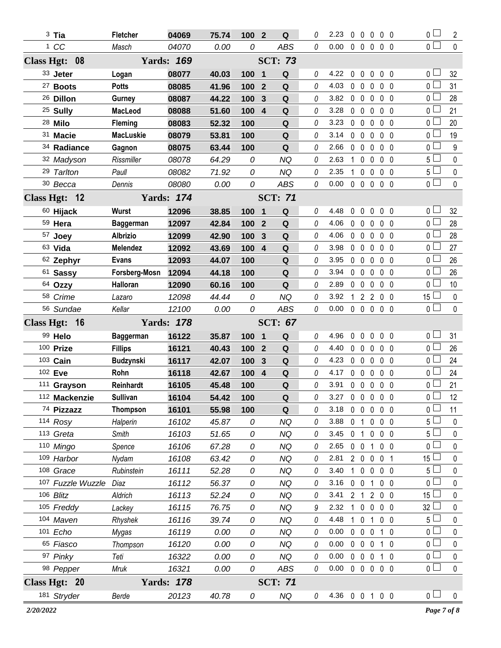| $3$ Tia                      | <b>Fletcher</b>  | 04069             | 75.74 | 100        | $\overline{2}$<br>Q   | 0        | 2.23 | $\mathbf{0}$ | $\mathbf 0$<br>0               | $0\quad 0$        | 0 <sub>0</sub>                | 2               |
|------------------------------|------------------|-------------------|-------|------------|-----------------------|----------|------|--------------|--------------------------------|-------------------|-------------------------------|-----------------|
| 1 CC                         | Masch            | 04070             | 0.00  | 0          | <b>ABS</b>            | 0        | 0.00 |              | $0\quad 0\quad 0$              | 0 <sub>0</sub>    | $\overline{0}$ $\Box$         | $\mathbf{0}$    |
| Class Hgt: 08                |                  | <b>Yards: 169</b> |       |            | <b>SCT: 73</b>        |          |      |              |                                |                   |                               |                 |
| 33 Jeter                     | Logan            | 08077             | 40.03 | 100 1      | Q                     | 0        | 4.22 | $\mathbf 0$  | $\mathbf 0$<br>0               | 0 <sub>0</sub>    | 0 L                           | 32              |
| <sup>27</sup> Boots          | <b>Potts</b>     | 08085             | 41.96 | 100        | Q<br>$\overline{2}$   | 0        | 4.03 | $\mathbf 0$  | $\mathbf 0$<br>$\mathbf{0}$    | 0 <sub>0</sub>    | 0 <sup>2</sup>                | 31              |
| <sup>26</sup> Dillon         | Gurney           | 08087             | 44.22 | 100        | Q<br>3                | 0        | 3.82 | $0\quad 0$   | 0                              | $0\quad 0$        | 0 L                           | 28              |
| <sup>25</sup> Sully          | <b>MacLeod</b>   | 08088             | 51.60 | 100        | $\boldsymbol{4}$<br>Q | 0        | 3.28 | $\mathbf 0$  | $\mathbf 0$<br>$\mathbf{0}$    | 0 <sub>0</sub>    | 0 <sub>0</sub>                | 21              |
| 28 Milo                      | <b>Fleming</b>   | 08083             | 52.32 | 100        | Q                     | 0        | 3.23 | $\mathbf{0}$ | $\mathbf 0$<br>$\mathbf{0}$    | $0\quad 0$        | 0 <sub>0</sub>                | 20              |
| 31 Macie                     | <b>MacLuskie</b> | 08079             | 53.81 | 100        | Q                     | 0        | 3.14 | $\mathbf 0$  | $\mathbf 0$<br>0               | 0 <sub>0</sub>    | 0 <sub>0</sub>                | 19              |
| 34 Radiance                  | Gagnon           | 08075             | 63.44 | 100        | Q                     | 0        | 2.66 | $\mathbf 0$  | $\mathbf 0$<br>0               | $0\quad 0$        | 0 <sub>0</sub>                | 9               |
| 32 Madyson                   | Rissmiller       | 08078             | 64.29 | 0          | <b>NQ</b>             | 0        | 2.63 | 1.           | $\mathbf 0$<br>$\mathbf{0}$    | 0 <sub>0</sub>    | 5 <sub>1</sub>                | 0               |
| 29 Tarlton                   | Paull            | 08082             | 71.92 | 0          | <b>NQ</b>             | 0        | 2.35 | 1.           | $\mathbf 0$<br>$\mathbf{0}$    | 0 <sub>0</sub>    | 5 L                           | 0               |
| 30 Becca                     | Dennis           | 08080             | 0.00  | 0          | <b>ABS</b>            | 0        | 0.00 |              | $0\quad 0\quad 0$              | $0\quad 0$        | 0 <sub>0</sub>                | 0               |
| Class Hgt: 12                |                  | <b>Yards: 174</b> |       |            | <b>SCT: 71</b>        |          |      |              |                                |                   |                               |                 |
| 60 Hijack                    | <b>Wurst</b>     | 12096             | 38.85 | 100 1      | Q                     | 0        | 4.48 | $\mathbf{0}$ | $\mathbf 0$<br>0               | 0 <sub>0</sub>    | 0 <sub>0</sub>                | 32              |
| 59 Hera                      | <b>Baggerman</b> | 12097             | 42.84 | 100        | Q<br>$\overline{2}$   | 0        | 4.06 | $\mathbf 0$  | $\mathbf 0$<br>$\mathbf 0$     | 0 <sub>0</sub>    | 0 <sub>0</sub>                | 28              |
| 57 Joey                      | <b>Albrizio</b>  | 12099             | 42.90 | 100        | Q<br>3                | 0        | 4.06 | $0\quad 0$   | 0                              | $0\quad 0$        | 0 <sub>0</sub>                | 28              |
| 63 Vida                      | <b>Melendez</b>  | 12092             | 43.69 | 100 4      | Q                     | 0        | 3.98 | $\mathbf 0$  | $\mathbf 0$<br>0               | 0 <sub>0</sub>    | 0 L                           | 27              |
| 62 Zephyr                    | <b>Evans</b>     | 12093             | 44.07 | 100        | ${\bf Q}$             | 0        | 3.95 | $\mathbf{0}$ | $\overline{0}$<br>$\mathbf{0}$ | 0 <sub>0</sub>    | 0 L                           | 26              |
| 61 Sassy                     | Forsberg-Mosn    | 12094             | 44.18 | 100        | Q                     | 0        | 3.94 | $\mathbf 0$  | $\mathbf 0$<br>$\mathbf 0$     | 0 <sub>0</sub>    | 0 L                           | 26              |
| 64 Ozzy                      | Halloran         | 12090             | 60.16 | 100        | Q                     | 0        | 2.89 | 0            | $\mathbf 0$<br>0               | $0\quad 0$        | 0 L                           | 10              |
| 58 Crime                     | Lazaro           | 12098             | 44.44 | 0          | <b>NQ</b>             | 0        | 3.92 | $\mathbf{1}$ | $2^{\circ}$<br>$\overline{2}$  | 0 <sub>0</sub>    | 15 <sup>2</sup>               | $\pmb{0}$       |
| 56 Sundae                    | Kellar           | 12100             | 0.00  | 0          | <b>ABS</b>            | 0        | 0.00 |              | 00000                          |                   | $\overline{0}$                | $\mathbf 0$     |
|                              |                  |                   |       |            |                       |          |      |              |                                |                   |                               |                 |
| Class Hgt: 16                |                  | <b>Yards: 178</b> |       |            | <b>SCT: 67</b>        |          |      |              |                                |                   |                               |                 |
| 99 Helo                      | <b>Baggerman</b> | 16122             | 35.87 | 100 1      | Q                     | 0        | 4.96 | $\mathbf 0$  | $\mathbf 0$<br>$\mathbf 0$     | 0 <sub>0</sub>    | 0 l                           | 31              |
| 100 Prize                    | <b>Fillips</b>   | 16121             | 40.43 | 100        | $\overline{2}$<br>Q   | 0        | 4.40 | $\mathbf 0$  | $\overline{0}$<br>$\mathbf{0}$ | 0 <sub>0</sub>    | 0 <sup>1</sup>                | 26              |
| 103 Cain                     | <b>Budzynski</b> | 16117             | 42.07 | 100        | Q<br>$\mathbf{3}$     | $\theta$ | 4.23 | $\mathbf 0$  | $\mathbf 0$<br>$\mathbf 0$     | 0 <sub>0</sub>    | 0 L                           | 24              |
| 102 Eve                      | Rohn             | 16118             | 42.67 | 100 4      | ${\bf Q}$             | 0        | 4.17 | $0\quad 0$   | $\mathbf{0}$                   | $0\quad 0$        | 0 l                           | 24              |
| 111 Grayson                  | Reinhardt        | 16105             | 45.48 | 100        | Q                     | 0        | 3.91 |              | $0\quad 0\quad 0$              | 0 <sub>0</sub>    | 0 L                           | 21              |
| 112 Mackenzie                | Sullivan         | 16104             | 54.42 | <b>100</b> | Q                     |          | 3.27 |              | 00000                          |                   | $\overline{0}$                | 12 <sup>°</sup> |
| 74 Pizzazz                   | <b>Thompson</b>  | 16101             | 55.98 | 100        | Q                     | 0        | 3.18 | $\mathbf 0$  | $\mathbf 0$<br>$\mathbf 0$     | 0 <sub>0</sub>    | 0 l                           | 11              |
| 114 Rosy                     | Halperin         | 16102             | 45.87 | 0          | <b>NQ</b>             | 0        | 3.88 | 0            | 0<br>1                         | 0 <sub>0</sub>    | 5 l                           | 0               |
| 113 Greta                    | Smith            | 16103             | 51.65 | 0          | <b>NQ</b>             | 0        | 3.45 | $\mathbf 0$  | $\mathbf{1}$<br>0              | 0 <sub>0</sub>    | 5 L                           | 0               |
| 110 Mingo                    | Spence           | 16106             | 67.28 | 0          | <b>NQ</b>             | 0        | 2.65 | 0            | $\mathbf 0$<br>1               | 0 <sub>0</sub>    | $\overline{0}$ $\overline{1}$ | 0               |
| 109 Harbor                   | Nydam            | 16108             | 63.42 | 0          | <b>NQ</b>             | 0        | 2.81 | $2\quad0$    | $\mathbf 0$                    | 0 <sub>1</sub>    | 15                            | 0               |
| 108 Grace                    | Rubinstein       | 16111             | 52.28 | 0          | <b>NQ</b>             | 0        | 3.40 | $\mathbf{1}$ | $\mathbf 0$<br>0               | $0\quad 0$        | 5 <sup>1</sup>                | 0               |
| 107 Fuzzle Wuzzle Diaz       |                  | 16112             | 56.37 | 0          | <b>NQ</b>             | 0        | 3.16 | $\mathbf 0$  | $\mathbf 0$<br>1               | 0 <sub>0</sub>    | 0 l                           | 0               |
| 106 Blitz                    | Aldrich          | 16113             | 52.24 | 0          | <b>NQ</b>             | 0        | 3.41 |              | $2 \quad 1 \quad 2$            | 0 <sub>0</sub>    | $15 \Box$                     | 0               |
| 105 Freddy                   | Lackey           | 16115             | 76.75 | 0          | <b>NQ</b>             | 9        | 2.32 | $\mathbf{1}$ | $\mathbf 0$<br>0               | 0 <sub>0</sub>    | 32                            | 0               |
| 104 Maven                    | Rhyshek          | 16116             | 39.74 | 0          | <b>NQ</b>             | 0        | 4.48 | 1            | $\mathbf 0$<br>1               | 0 <sub>0</sub>    | $5\Box$                       | 0               |
| 101 Echo                     | Mygas            | 16119             | 0.00  | 0          | <b>NQ</b>             | 0        | 0.00 | $\mathbf 0$  | $\mathbf 0$<br>$\mathbf 0$     | $1\quad0$         | 0 <sub>0</sub>                | 0               |
| 65 Fiasco                    | Thompson         | 16120             | 0.00  | 0          | <b>NQ</b>             | 0        | 0.00 | $\mathbf 0$  | $\mathbf 0$<br>$\mathbf 0$     | $1\quad0$         | $\overline{0}$                | 0               |
| 97 Pinky                     | Teti             | 16322             | 0.00  | 0          | <b>NQ</b>             | 0        | 0.00 | $\mathbf{0}$ | $\mathbf 0$<br>$\mathbf 0$     | $1\quad0$         | 0 <sup>1</sup>                | 0               |
| 98 Pepper                    | Mruk             | 16321             | 0.00  | 0          | ABS                   | 0        | 0.00 | $0\quad 0$   |                                | $0\quad 0\quad 0$ | $\overline{0}$                | $\mathbf 0$     |
| Class Hgt: 20<br>181 Stryder |                  | <b>Yards: 178</b> |       |            | <b>SCT: 71</b>        |          |      |              |                                |                   | 0 <sub>0</sub>                | $\pmb{0}$       |